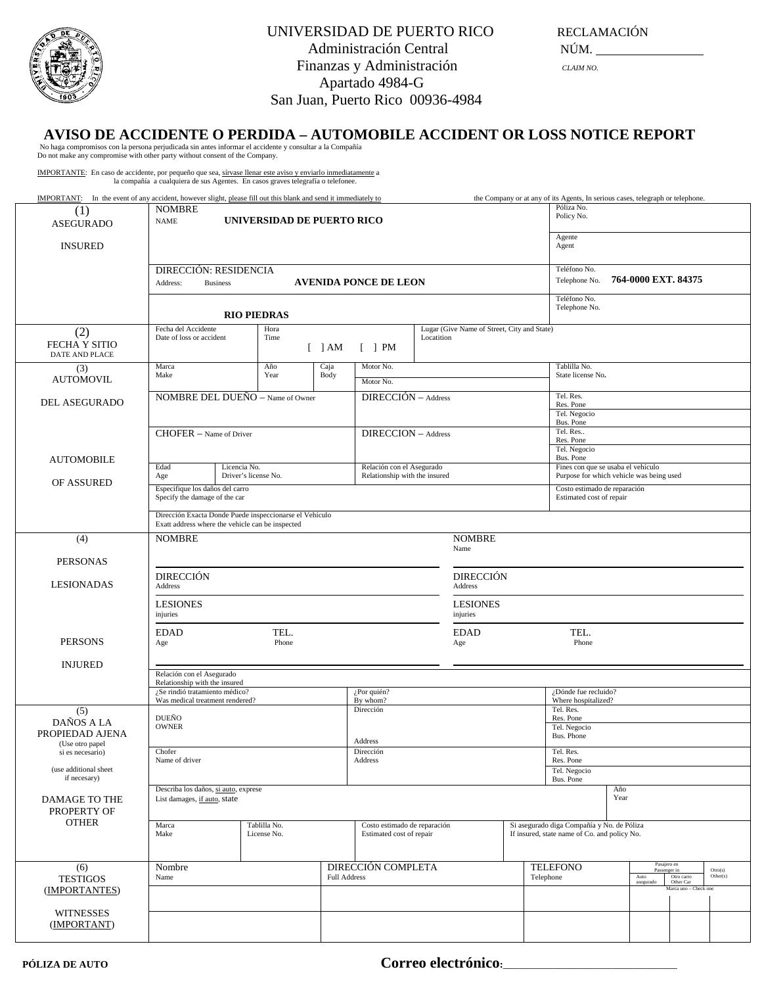

## AVISO DE ACCIDENTE O PERDIDA — AUTOMOBILE ACCIDENT OR LOSS NOTICE REPORT<br>No haga compromisos con la persona perjudicada sin antes informar el accidente y consultar a la Compañía<br>Do not make any compromise with other party

IMPORTANTE: En caso de accidente, por pequeño que sea, sírvase llenar este aviso y enviarlo inmediatamente a la compañía a cualquiera de sus Agentes. En casos graves telegrafía o telefonee.

| <b>IMPORTANT:</b> In the event of any accident, however slight, please fill out this blank and send it immediately to |                                                                                                             |                                             |                                     |                               |                          |                            | the Company or at any of its Agents, In serious cases, telegraph or telephone.            |                                  |                                    |  |  |  |
|-----------------------------------------------------------------------------------------------------------------------|-------------------------------------------------------------------------------------------------------------|---------------------------------------------|-------------------------------------|-------------------------------|--------------------------|----------------------------|-------------------------------------------------------------------------------------------|----------------------------------|------------------------------------|--|--|--|
| (1)                                                                                                                   | <b>NOMBRE</b>                                                                                               |                                             | Póliza No.                          |                               |                          |                            |                                                                                           |                                  |                                    |  |  |  |
| <b>ASEGURADO</b>                                                                                                      | UNIVERSIDAD DE PUERTO RICO<br><b>NAME</b>                                                                   |                                             | Policy No.                          |                               |                          |                            |                                                                                           |                                  |                                    |  |  |  |
|                                                                                                                       | Agente                                                                                                      |                                             |                                     |                               |                          |                            |                                                                                           |                                  |                                    |  |  |  |
| <b>INSURED</b>                                                                                                        |                                                                                                             |                                             | Agent                               |                               |                          |                            |                                                                                           |                                  |                                    |  |  |  |
|                                                                                                                       |                                                                                                             |                                             |                                     |                               |                          |                            |                                                                                           |                                  |                                    |  |  |  |
|                                                                                                                       | DIRECCIÓN: RESIDENCIA                                                                                       |                                             | Teléfono No.<br>764-0000 EXT. 84375 |                               |                          |                            |                                                                                           |                                  |                                    |  |  |  |
|                                                                                                                       | Address:<br><b>Business</b>                                                                                 |                                             | Telephone No.                       |                               |                          |                            |                                                                                           |                                  |                                    |  |  |  |
|                                                                                                                       |                                                                                                             |                                             |                                     | Teléfono No.                  |                          |                            |                                                                                           |                                  |                                    |  |  |  |
|                                                                                                                       |                                                                                                             | <b>RIO PIEDRAS</b>                          |                                     | Telephone No.                 |                          |                            |                                                                                           |                                  |                                    |  |  |  |
| (2)                                                                                                                   | Fecha del Accidente                                                                                         | Lugar (Give Name of Street, City and State) |                                     |                               |                          |                            |                                                                                           |                                  |                                    |  |  |  |
| <b>FECHA Y SITIO</b>                                                                                                  | Date of loss or accident                                                                                    | Time                                        |                                     |                               | Locatition               |                            |                                                                                           |                                  |                                    |  |  |  |
| <b>DATE AND PLACE</b>                                                                                                 |                                                                                                             |                                             | $[$ ] AM                            | $\lceil$   PM                 |                          |                            |                                                                                           |                                  |                                    |  |  |  |
| (3)                                                                                                                   | Marca                                                                                                       | Año                                         | Caja                                | Motor No.                     |                          |                            | Tablilla No.                                                                              |                                  |                                    |  |  |  |
| <b>AUTOMOVIL</b>                                                                                                      | Make                                                                                                        | Year                                        | Body                                | Motor No.                     |                          |                            | State license No.                                                                         |                                  |                                    |  |  |  |
|                                                                                                                       |                                                                                                             |                                             |                                     |                               | $DIRECCIÓN - Address$    |                            | Tel. Res.                                                                                 |                                  |                                    |  |  |  |
| DEL ASEGURADO                                                                                                         | NOMBRE DEL DUEÑO - Name of Owner                                                                            |                                             |                                     |                               |                          |                            | Res. Pone                                                                                 |                                  |                                    |  |  |  |
|                                                                                                                       |                                                                                                             |                                             |                                     |                               |                          | Tel. Negocio<br>Bus. Pone  |                                                                                           |                                  |                                    |  |  |  |
|                                                                                                                       | CHOFER - Name of Driver                                                                                     |                                             | DIRECCION - Address                 |                               |                          | Tel. Res                   |                                                                                           |                                  |                                    |  |  |  |
|                                                                                                                       |                                                                                                             |                                             |                                     |                               |                          | Res. Pone                  |                                                                                           |                                  |                                    |  |  |  |
| <b>AUTOMOBILE</b>                                                                                                     |                                                                                                             |                                             |                                     |                               |                          | Tel. Negocio<br>Bus. Pone  |                                                                                           |                                  |                                    |  |  |  |
|                                                                                                                       | Edad                                                                                                        | Licencia No.                                |                                     | Relación con el Asegurado     |                          |                            | Fines con que se usaba el vehículo<br>Purpose for which vehicle was being used            |                                  |                                    |  |  |  |
| OF ASSURED                                                                                                            | Age                                                                                                         | Driver's license No.                        |                                     | Relationship with the insured |                          |                            |                                                                                           |                                  |                                    |  |  |  |
|                                                                                                                       | Especifique los daños del carro<br>Specify the damage of the car                                            |                                             |                                     |                               |                          |                            | Costo estimado de reparación<br>Estimated cost of repair                                  |                                  |                                    |  |  |  |
|                                                                                                                       |                                                                                                             |                                             |                                     |                               |                          |                            |                                                                                           |                                  |                                    |  |  |  |
|                                                                                                                       | Dirección Exacta Donde Puede inspeccionarse el Vehículo<br>Exatt address where the vehicle can be inspected |                                             |                                     |                               |                          |                            |                                                                                           |                                  |                                    |  |  |  |
| (4)                                                                                                                   | <b>NOMBRE</b>                                                                                               |                                             |                                     |                               | <b>NOMBRE</b>            |                            |                                                                                           |                                  |                                    |  |  |  |
|                                                                                                                       |                                                                                                             |                                             |                                     |                               | Name                     |                            |                                                                                           |                                  |                                    |  |  |  |
| <b>PERSONAS</b>                                                                                                       |                                                                                                             |                                             |                                     |                               |                          |                            |                                                                                           |                                  |                                    |  |  |  |
|                                                                                                                       | <b>DIRECCIÓN</b>                                                                                            |                                             |                                     |                               |                          | <b>DIRECCIÓN</b>           |                                                                                           |                                  |                                    |  |  |  |
| <b>LESIONADAS</b>                                                                                                     | Address                                                                                                     |                                             | Address                             |                               |                          |                            |                                                                                           |                                  |                                    |  |  |  |
|                                                                                                                       | <b>LESIONES</b>                                                                                             | <b>LESIONES</b>                             |                                     |                               |                          |                            |                                                                                           |                                  |                                    |  |  |  |
|                                                                                                                       | injuries                                                                                                    |                                             |                                     |                               |                          | injuries                   |                                                                                           |                                  |                                    |  |  |  |
|                                                                                                                       |                                                                                                             |                                             |                                     |                               |                          |                            |                                                                                           |                                  |                                    |  |  |  |
| <b>PERSONS</b>                                                                                                        | <b>EDAD</b><br>Age                                                                                          | TEL.<br>Phone                               | <b>EDAD</b><br>Age                  |                               |                          | TEL.<br>Phone              |                                                                                           |                                  |                                    |  |  |  |
|                                                                                                                       |                                                                                                             |                                             |                                     |                               |                          |                            |                                                                                           |                                  |                                    |  |  |  |
| <b>INJURED</b>                                                                                                        |                                                                                                             |                                             |                                     |                               |                          |                            |                                                                                           |                                  |                                    |  |  |  |
|                                                                                                                       | Relationship with the insured                                                                               | Relación con el Asegurado                   |                                     |                               |                          |                            |                                                                                           |                                  |                                    |  |  |  |
|                                                                                                                       | ¿Se rindió tratamiento médico?<br>¿Por quién?                                                               |                                             |                                     |                               |                          |                            | ¿Dónde fue recluido?                                                                      |                                  |                                    |  |  |  |
|                                                                                                                       | Was medical treatment rendered?<br>By whom?<br>Dirección                                                    |                                             |                                     |                               |                          |                            |                                                                                           | Where hospitalized?<br>Tel. Res. |                                    |  |  |  |
| (5)<br>DAÑOS A LA                                                                                                     | DUEÑO                                                                                                       |                                             |                                     |                               |                          |                            |                                                                                           | Res. Pone                        |                                    |  |  |  |
| PROPIEDAD AJENA                                                                                                       | <b>OWNER</b>                                                                                                |                                             |                                     |                               |                          | Tel. Negocio<br>Bus. Phone |                                                                                           |                                  |                                    |  |  |  |
| (Use otro papel                                                                                                       |                                                                                                             |                                             |                                     | Address                       |                          |                            |                                                                                           |                                  |                                    |  |  |  |
| si es necesario)                                                                                                      | Chofer<br>Name of driver                                                                                    |                                             |                                     | Dirección<br>Address          |                          |                            | Tel. Res.<br>Res. Pone                                                                    |                                  |                                    |  |  |  |
| (use additional sheet                                                                                                 |                                                                                                             |                                             |                                     |                               |                          |                            | Tel. Negocio                                                                              |                                  |                                    |  |  |  |
| if necesary)                                                                                                          | Describa los daños, si auto, exprese                                                                        |                                             |                                     |                               |                          |                            | Bus. Pone<br>Año                                                                          |                                  |                                    |  |  |  |
| DAMAGE TO THE                                                                                                         | Year<br>List damages, if auto, state                                                                        |                                             |                                     |                               |                          |                            |                                                                                           |                                  |                                    |  |  |  |
| PROPERTY OF                                                                                                           |                                                                                                             |                                             |                                     |                               |                          |                            |                                                                                           |                                  |                                    |  |  |  |
| <b>OTHER</b>                                                                                                          | Marca                                                                                                       | Tablilla No.                                |                                     | Costo estimado de reparación  |                          |                            | Si asegurado diga Compañía y No. de Póliza                                                |                                  |                                    |  |  |  |
|                                                                                                                       | Make                                                                                                        | License No.                                 |                                     |                               | Estimated cost of repair |                            | If insured, state name of Co. and policy No.                                              |                                  |                                    |  |  |  |
|                                                                                                                       |                                                                                                             |                                             |                                     |                               |                          |                            |                                                                                           |                                  |                                    |  |  |  |
| (6)                                                                                                                   |                                                                                                             |                                             | DIRECCIÓN COMPLETA                  |                               |                          | Pasajero en                |                                                                                           |                                  |                                    |  |  |  |
| <b>TESTIGOS</b>                                                                                                       | Nombre<br><b>Full Address</b><br>Name                                                                       |                                             |                                     |                               |                          |                            | <b>TELEFONO</b><br>Otro(s)<br>Passenger in<br>Telephone<br>Auto<br>Otro carro<br>Other(s) |                                  |                                    |  |  |  |
| (IMPORTANTES)                                                                                                         |                                                                                                             |                                             |                                     |                               |                          |                            |                                                                                           | asegurado                        | Other Car<br>Marca uno - Check one |  |  |  |
|                                                                                                                       |                                                                                                             |                                             |                                     |                               |                          |                            |                                                                                           |                                  |                                    |  |  |  |
| <b>WITNESSES</b>                                                                                                      |                                                                                                             |                                             |                                     |                               |                          |                            |                                                                                           |                                  |                                    |  |  |  |
| (IMPORTANT)                                                                                                           |                                                                                                             |                                             |                                     |                               |                          |                            |                                                                                           |                                  |                                    |  |  |  |
|                                                                                                                       |                                                                                                             |                                             |                                     |                               |                          |                            |                                                                                           |                                  |                                    |  |  |  |

**PÓLIZA DE AUTO Correo electrónico**: